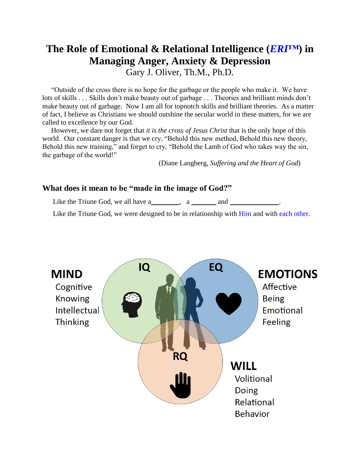# **The Role of Emotional & Relational Intelligence (***ERI™***) in Managing Anger, Anxiety & Depression**

Gary J. Oliver, Th.M., Ph.D.

 "Outside of the cross there is no hope for the garbage or the people who make it. We have lots of skills . . . Skills don't make beauty out of garbage . . . Theories and brilliant minds don't make beauty out of garbage. Now I am all for topnotch skills and brilliant theories. As a matter of fact, I believe as Christians we should outshine the secular world in these matters, for we are called to excellence by our God.

 However, we dare not forget that *it is the cross of Jesus Christ* that is the only hope of this world. Our constant danger is that we cry, "Behold this new method, Behold this new theory, Behold this new training," and forget to cry, "Behold the Lamb of God who takes way the sin, the garbage of the world!"

(Diane Langberg, *Suffering and the Heart of God*)

## **What does it mean to be "made in the image of God?"**

Like the Triune God, we all have a\_\_\_\_\_\_, a \_\_\_\_\_\_\_ and \_\_\_\_\_\_\_\_\_\_\_\_.

Like the Triune God, we were designed to be in relationship with Him and with each other.

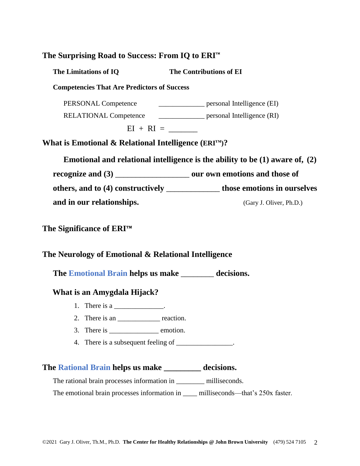| The Surprising Road to Success: From IQ to ERI <sup>™</sup>       |                                                                                  |
|-------------------------------------------------------------------|----------------------------------------------------------------------------------|
| The Limitations of IQ                                             | The Contributions of EI                                                          |
| <b>Competencies That Are Predictors of Success</b>                |                                                                                  |
| PERSONAL Competence                                               | ___________________ personal Intelligence (EI)                                   |
|                                                                   | RELATIONAL Competence _______________ personal Intelligence (RI)                 |
| $EI + RI =$                                                       |                                                                                  |
| What is Emotional & Relational Intelligence (ERI <sup>TM</sup> )? |                                                                                  |
|                                                                   | Emotional and relational intelligence is the ability to be $(1)$ aware of, $(2)$ |
|                                                                   | recognize and (3) _______________________ our own emotions and those of          |
|                                                                   | others, and to (4) constructively _______________ those emotions in ourselves    |
| and in our relationships.                                         | (Gary J. Oliver, Ph.D.)                                                          |
| The Significance of ERI™                                          |                                                                                  |

# **The Neurology of Emotional & Relational Intelligence**

**The Emotional Brain helps us make** \_\_\_\_\_\_\_\_ **decisions.**

## **What is an Amygdala Hijack?**

- 1. There is a  $\frac{1}{\sqrt{1-\frac{1}{2}}}\cdot$
- 2. There is an \_\_\_\_\_\_\_\_\_\_\_\_\_\_ reaction.
- 3. There is \_\_\_\_\_\_\_\_\_\_\_\_\_\_\_\_\_\_ emotion.
- 4. There is a subsequent feeling of \_\_\_\_\_\_\_\_\_\_\_\_\_\_\_.

## **The Rational Brain helps us make \_\_\_\_\_\_\_\_\_ decisions.**

The rational brain processes information in \_\_\_\_\_\_\_\_\_ milliseconds.

The emotional brain processes information in \_\_\_\_\_ milliseconds—that's 250x faster.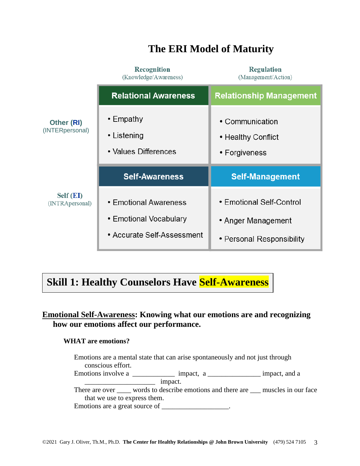|                               | Recognition<br>(Knowledge/Awareness)                                          | <b>Regulation</b><br>(Management/Action)                                    |
|-------------------------------|-------------------------------------------------------------------------------|-----------------------------------------------------------------------------|
|                               | <b>Relational Awareness</b>                                                   | <b>Relationship Management</b>                                              |
| Other (RI)<br>(INTERpersonal) | $\cdot$ Empathy<br>• Listening<br>• Values Differences                        | • Communication<br>• Healthy Conflict<br>• Forgiveness                      |
|                               | <b>Self-Awareness</b>                                                         | <b>Self-Management</b>                                                      |
| Self (EI)<br>(INTRApersonal)  | • Emotional Awareness<br>• Emotional Vocabulary<br>• Accurate Self-Assessment | • Emotional Self-Control<br>• Anger Management<br>• Personal Responsibility |

# **The ERI Model of Maturity**

# **Skill 1: Healthy Counselors Have Self-Awareness**

# **Emotional Self-Awareness: Knowing what our emotions are and recognizing how our emotions affect our performance.**

#### **WHAT are emotions?**

Emotions are a mental state that can arise spontaneously and not just through conscious effort. Emotions involve a \_\_\_\_\_\_\_\_\_\_\_\_\_\_ impact, a \_\_\_\_\_\_\_\_\_\_\_\_\_\_\_\_ impact, and a \_\_\_\_\_\_\_\_\_\_\_\_\_\_\_\_\_\_\_\_ impact. There are over \_\_\_\_\_ words to describe emotions and there are \_\_\_ muscles in our face that we use to express them. Emotions are a great source of \_\_\_\_\_\_\_\_\_\_\_\_\_\_\_\_\_\_\_.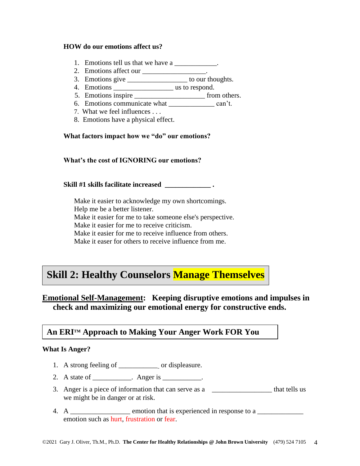#### **HOW do our emotions affect us?**

- 1. Emotions tell us that we have a \_\_\_\_\_\_\_\_\_\_\_\_.
- 2. Emotions affect our \_\_\_\_\_\_\_\_\_\_\_\_\_\_\_\_\_\_.
- 3. Emotions give \_\_\_\_\_\_\_\_\_\_\_\_\_\_\_\_\_ to our thoughts.
- 4. Emotions \_\_\_\_\_\_\_\_\_\_\_\_\_\_\_\_\_ us to respond.
- 5. Emotions inspire \_\_\_\_\_\_\_\_\_\_\_\_\_\_\_\_\_\_\_\_\_\_\_\_\_\_\_\_\_\_\_ from others.
- 6. Emotions communicate what \_\_\_\_\_\_\_\_\_\_\_\_\_ can't.
- 7. What we feel influences . . .
- 8. Emotions have a physical effect.

#### **What factors impact how we "do" our emotions?**

#### **What's the cost of IGNORING our emotions?**

#### **Skill #1 skills facilitate increased \_\_\_\_\_\_\_\_\_\_\_\_\_ .**

 Make it easier to acknowledge my own shortcomings. Help me be a better listener. Make it easier for me to take someone else's perspective. Make it easier for me to receive criticism. Make it easier for me to receive influence from others. Make it easer for others to receive influence from me.

# **Skill 2: Healthy Counselors Manage Themselves**

# **Emotional Self-Management: Keeping disruptive emotions and impulses in check and maximizing our emotional energy for constructive ends.**

# **An ERITM Approach to Making Your Anger Work FOR You**

#### **What Is Anger?**

- 1. A strong feeling of \_\_\_\_\_\_\_\_\_\_\_ or displeasure.
- 2. A state of \_\_\_\_\_\_\_\_\_. Anger is \_\_\_\_\_\_\_\_.
- 3. Anger is a piece of information that can serve as a \_\_\_\_\_\_\_\_\_\_\_\_\_\_\_\_\_\_\_\_\_\_ that tells us we might be in danger or at risk.
- 4. A \_\_\_\_\_\_\_\_\_\_\_\_\_\_\_\_\_ emotion that is experienced in response to a \_\_\_\_\_\_\_\_\_\_\_\_ emotion such as hurt, frustration or fear.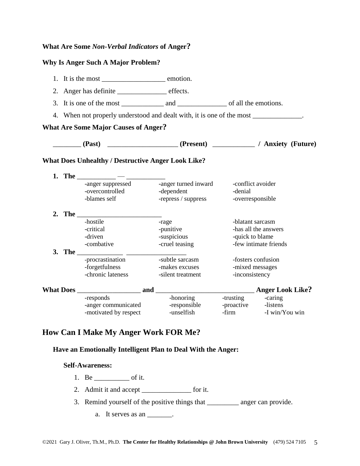## **What Are Some** *Non-Verbal Indicators* **of Anger?**

#### **Why Is Anger Such A Major Problem?**

|  | 2. Anger has definite ____________________ effects.                                                                                                                                                                                                                                                                                                                                                          |                     |                              |                       |
|--|--------------------------------------------------------------------------------------------------------------------------------------------------------------------------------------------------------------------------------------------------------------------------------------------------------------------------------------------------------------------------------------------------------------|---------------------|------------------------------|-----------------------|
|  |                                                                                                                                                                                                                                                                                                                                                                                                              |                     |                              |                       |
|  | 4. When not properly understood and dealt with, it is one of the most ____________.                                                                                                                                                                                                                                                                                                                          |                     |                              |                       |
|  | <b>What Are Some Major Causes of Anger?</b>                                                                                                                                                                                                                                                                                                                                                                  |                     |                              |                       |
|  | (Past) ________________________(Present) _____________/ Anxiety (Future)                                                                                                                                                                                                                                                                                                                                     |                     |                              |                       |
|  | <b>What Does Unhealthy / Destructive Anger Look Like?</b>                                                                                                                                                                                                                                                                                                                                                    |                     |                              |                       |
|  |                                                                                                                                                                                                                                                                                                                                                                                                              |                     |                              |                       |
|  | -anger suppressed -anger turned inward<br>-overcontrolled                                                                                                                                                                                                                                                                                                                                                    | -dependent          | -conflict avoider<br>-denial |                       |
|  | -blames self                                                                                                                                                                                                                                                                                                                                                                                                 | -repress / suppress | -overresponsible             |                       |
|  |                                                                                                                                                                                                                                                                                                                                                                                                              |                     |                              |                       |
|  | -hostile                                                                                                                                                                                                                                                                                                                                                                                                     | -rage               | -blatant sarcasm             |                       |
|  | -critical                                                                                                                                                                                                                                                                                                                                                                                                    | -punitive           |                              | -has all the answers  |
|  | -driven                                                                                                                                                                                                                                                                                                                                                                                                      | -suspicious         | -quick to blame              |                       |
|  | -combative                                                                                                                                                                                                                                                                                                                                                                                                   | -cruel teasing      |                              | -few intimate friends |
|  | 3. The $\frac{1}{\sqrt{1-\frac{1}{2}}\sqrt{1-\frac{1}{2}}\sqrt{1-\frac{1}{2}}\sqrt{1-\frac{1}{2}}\sqrt{1-\frac{1}{2}}\sqrt{1-\frac{1}{2}}\sqrt{1-\frac{1}{2}}\sqrt{1-\frac{1}{2}}\sqrt{1-\frac{1}{2}}\sqrt{1-\frac{1}{2}}\sqrt{1-\frac{1}{2}}\sqrt{1-\frac{1}{2}}\sqrt{1-\frac{1}{2}}\sqrt{1-\frac{1}{2}}\sqrt{1-\frac{1}{2}}\sqrt{1-\frac{1}{2}}\sqrt{1-\frac{1}{2}}\sqrt{1-\frac{1}{2}}\sqrt{1-\frac{1}{2$ |                     |                              |                       |
|  | -procrastination                                                                                                                                                                                                                                                                                                                                                                                             | -subtle sarcasm     |                              | -fosters confusion    |
|  | -forgetfulness<br>-chronic lateness                                                                                                                                                                                                                                                                                                                                                                          | -makes excuses      | -mixed messages              |                       |
|  |                                                                                                                                                                                                                                                                                                                                                                                                              | -silent treatment   | -inconsistency               |                       |
|  |                                                                                                                                                                                                                                                                                                                                                                                                              |                     |                              |                       |
|  | -responds                                                                                                                                                                                                                                                                                                                                                                                                    | -honoring           | -trusting caring             |                       |
|  | -anger communicated                                                                                                                                                                                                                                                                                                                                                                                          | -responsible        | -proactive -listens          |                       |
|  | -motivated by respect                                                                                                                                                                                                                                                                                                                                                                                        | -unselfish          |                              | -firm -I win/You win  |

# **How Can I Make My Anger Work FOR Me?**

#### **Have an Emotionally Intelligent Plan to Deal With the Anger:**

#### **Self-Awareness:**

- 1. Be \_\_\_\_\_\_\_\_\_\_ of it.
- 2. Admit it and accept \_\_\_\_\_\_\_\_\_\_\_\_\_\_\_ for it.
- 3. Remind yourself of the positive things that \_\_\_\_\_\_\_\_\_ anger can provide.
	- a. It serves as an  $\_\_\_\_\_\_\_\$ .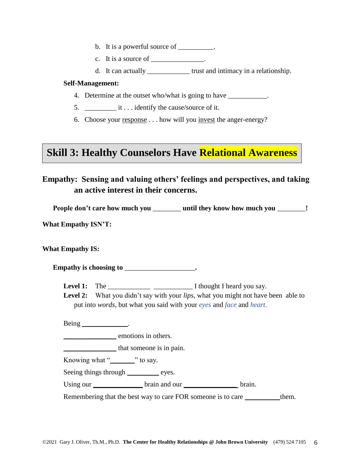- b. It is a powerful source of \_\_\_\_\_\_\_\_.
- c. It is a source of  $\cdot$
- d. It can actually \_\_\_\_\_\_\_\_\_\_\_\_ trust and intimacy in a relationship.

#### **Self-Management:**

- 4. Determine at the outset who/what is going to have
- 5. \_\_\_\_\_\_\_\_\_ it . . . identify the cause/source of it.
- 6. Choose your response . . . how will you invest the anger-energy?

# **Skill 3: Healthy Counselors Have Relational Awareness**

# **Empathy: Sensing and valuing others' feelings and perspectives, and taking an active interest in their concerns.**

**People don't care how much you** \_\_\_\_\_\_\_\_ **until they know how much you** \_\_\_\_\_\_\_\_**!**

**What Empathy ISN'T:**

**What Empathy IS:**

**Empathy is choosing to** \_\_\_\_\_\_\_\_\_\_\_\_\_\_\_\_\_\_\_\_**.**

**Level 1:** The \_\_\_\_\_\_\_\_\_\_\_\_ \_\_\_\_\_\_\_\_\_\_\_ I thought I heard you say.

**Level 2:** What you didn't say with your *lips*, what you might not have been able to put into *words*, but what you said with your *eyes* and *face* and *heart*.

Being \_\_\_\_\_\_\_\_\_\_\_\_\_\_.

emotions in others.

 $\blacksquare$  that someone is in pain.

Knowing what "\_\_\_\_\_\_\_\_" to say.

Seeing things through eyes.

Using our <u>leading</u> brain and our leading brain.

Remembering that the best way to care FOR someone is to care \_\_\_\_\_\_\_\_\_\_them.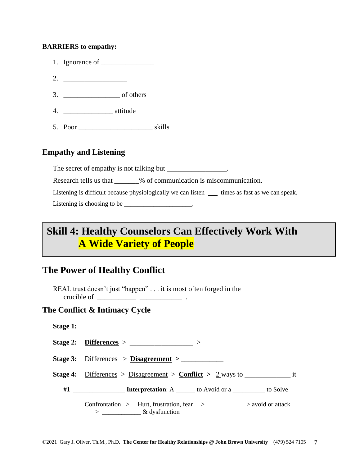#### **BARRIERS to empathy:**

- 1. Ignorance of  $\qquad \qquad$
- 2. \_\_\_\_\_\_\_\_\_\_\_\_\_\_\_\_\_\_
- 3. \_\_\_\_\_\_\_\_\_\_\_\_\_\_\_\_ of others
- 4. \_\_\_\_\_\_\_\_\_\_\_\_\_\_ attitude
- 5. Poor skills

## **Empathy and Listening**

The secret of empathy is not talking but  $\blacksquare$ 

Research tells us that \_\_\_\_\_\_\_% of communication is miscommunication.

Listening is difficult because physiologically we can listen \_\_\_\_\_ times as fast as we can speak. Listening is choosing to be  $\_\_\_\_\_\_\_\_\_\_\_\_\_\_\_\_\_\_$ .

# **Skill 4: Healthy Counselors Can Effectively Work With**

# **A Wide Variety of People**

# **The Power of Healthy Conflict**

REAL trust doesn't just "happen" . . . it is most often forged in the crucible of  $\frac{1}{\sqrt{1-\frac{1}{2}} \cdot \frac{1}{\sqrt{1-\frac{1}{2}}}}$ .

# **The Conflict & Intimacy Cycle**

| Stage 1: $\qquad \qquad$                                                                                          |
|-------------------------------------------------------------------------------------------------------------------|
| Stage 2: Differences > $\frac{1}{2}$ >                                                                            |
| Stage 3: $Differences > Disagreement >$                                                                           |
|                                                                                                                   |
|                                                                                                                   |
| Confrontation > Hurt, frustration, fear > $\_\_\_\_\_\_\_\$ > avoid or attack<br>$>$ _______________& dysfunction |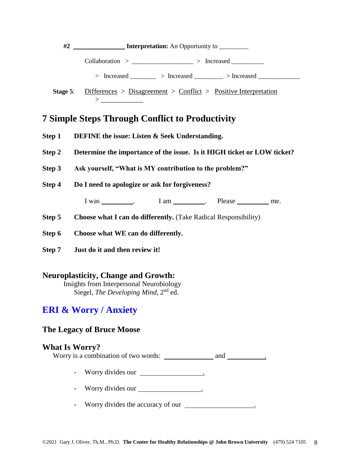

# **7 Simple Steps Through Conflict to Productivity**

- **Step 1 DEFINE the issue: Listen & Seek Understanding.**
- **Step 2 Determine the importance of the issue. Is it HIGH ticket or LOW ticket?**
- **Step 3 Ask yourself, "What is MY contribution to the problem?"**

**Step 4 Do I need to apologize or ask for forgiveness?** 

I was \_\_\_\_\_\_\_\_. I am \_\_\_\_\_\_\_. Please \_\_\_\_\_\_\_\_ me.

**Step 5** Choose what I can do differently. (Take Radical Responsibility)

- **Step 6 Choose what WE can do differently.**
- **Step 7 Just do it and then review it!**

#### **Neuroplasticity, Change and Growth:**

Insights from Interpersonal Neurobiology Siegel, *The Developing Mind*, 2nd ed.

# **ERI & Worry / Anxiety**

#### **The Legacy of Bruce Moose**

#### **What Is Worry?**

Worry is a combination of two words: and .

- Worry divides our .
- Worry divides our .
- Worry divides the accuracy of our .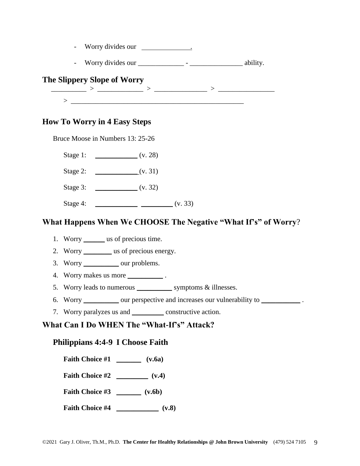|  | Worry divides our |  |  |
|--|-------------------|--|--|
|--|-------------------|--|--|

- Worry divides our \_\_\_\_\_\_\_\_\_\_\_\_\_ - \_\_\_\_\_\_\_\_\_\_\_\_\_\_\_ ability.

# **The Slippery Slope of Worry**

 \_\_\_\_\_\_\_\_\_\_ > \_\_\_\_\_\_\_\_\_\_\_\_\_ > \_\_\_\_\_\_\_\_\_\_\_\_\_\_\_ > \_\_\_\_\_\_\_\_\_\_\_\_\_\_\_\_  $>$   $\ge$   $\_\_$ 

## **How To Worry in 4 Easy Steps**

Bruce Moose in Numbers 13: 25-26

Stage 1: \_\_\_\_\_\_\_\_\_\_\_\_\_\_ (v. 28)

- Stage 2: \_\_\_\_\_\_\_\_\_\_\_\_ (v. 31)
- Stage 3: \_\_\_\_\_\_\_\_\_\_\_\_\_\_\_\_ (v. 32)
- Stage 4: \_\_\_\_\_\_\_\_\_\_\_\_\_\_ \_\_\_\_\_\_\_\_\_ (v. 33)

## **What Happens When We CHOOSE The Negative "What If's" of Worry**?

- 1. Worry \_\_\_\_\_\_ us of precious time.
- 2. Worry \_\_\_\_\_\_\_\_\_ us of precious energy.
- 3. Worry \_\_\_\_\_\_\_\_\_\_ our problems.
- 4. Worry makes us more \_\_\_\_\_\_\_\_\_\_\_\_\_.
- 5. Worry leads to numerous \_\_\_\_\_\_\_\_\_\_ symptoms & illnesses.
- 6. Worry \_\_\_\_\_\_\_\_\_\_ our perspective and increases our vulnerability to \_\_\_\_\_\_\_\_\_\_\_ .
- 7. Worry paralyzes us and \_\_\_\_\_\_\_\_\_ constructive action.

# **What Can I Do WHEN The "What-If's" Attack?**

## **Philippians 4:4-9 I Choose Faith**

- **Faith Choice #1** \_\_\_\_\_\_\_ **(v.6a)**
- **Faith Choice #2** \_\_\_\_\_\_\_\_\_ **(v.4)**
- **Faith Choice #3** \_\_\_\_\_\_\_ **(v.6b)**
- **Faith Choice #4** \_\_\_\_\_\_\_\_\_\_\_\_ **(v.8)**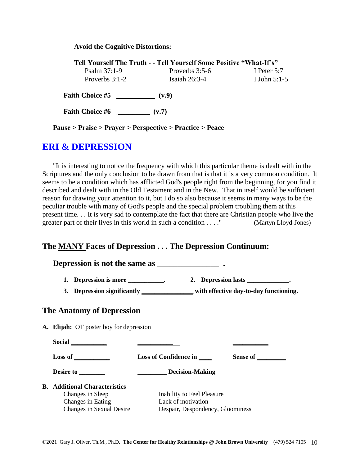#### **Avoid the Cognitive Distortions:**

| Tell Yourself The Truth - - Tell Yourself Some Positive "What-If's" |                  |                |  |  |
|---------------------------------------------------------------------|------------------|----------------|--|--|
| Psalm $37:1-9$                                                      | Proverbs $3:5-6$ | I Peter $5:7$  |  |  |
| Proverbs $3:1-2$                                                    | Isaiah $26:3-4$  | I John $5:1-5$ |  |  |
| <b>Faith Choice #5</b>                                              | (v.9)            |                |  |  |

**Faith Choice #6** \_\_\_\_\_\_\_\_\_ **(v.7)**

**Pause > Praise > Prayer > Perspective > Practice > Peace**

# **ERI & DEPRESSION**

"It is interesting to notice the frequency with which this particular theme is dealt with in the Scriptures and the only conclusion to be drawn from that is that it is a very common condition. It seems to be a condition which has afflicted God's people right from the beginning, for you find it described and dealt with in the Old Testament and in the New. That in itself would be sufficient reason for drawing your attention to it, but I do so also because it seems in many ways to be the peculiar trouble with many of God's people and the special problem troubling them at this present time. . . It is very sad to contemplate the fact that there are Christian people who live the greater part of their lives in this world in such a condition . . . " (Martyn Lloyd-Jones)

#### **The MANY Faces of Depression . . . The Depression Continuum:**

| 1. Depression is more ____________.                                                                              | 3. Depression significantly _____________ with effective day-to-day functioning.     | 2. Depression lasts _____________. |
|------------------------------------------------------------------------------------------------------------------|--------------------------------------------------------------------------------------|------------------------------------|
| <b>The Anatomy of Depression</b>                                                                                 |                                                                                      |                                    |
| A. Elijah: OT poster boy for depression                                                                          |                                                                                      |                                    |
|                                                                                                                  |                                                                                      |                                    |
| $Loss of _______$                                                                                                | Loss of Confidence in _____                                                          | Sense of                           |
|                                                                                                                  | Decision-Making                                                                      |                                    |
| <b>B.</b> Additional Characteristics<br>Changes in Sleep<br>Changes in Eating<br><b>Changes in Sexual Desire</b> | Inability to Feel Pleasure<br>Lack of motivation<br>Despair, Despondency, Gloominess |                                    |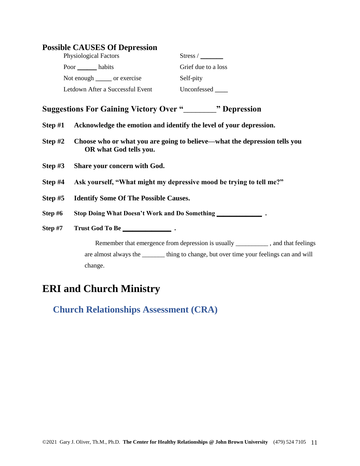| <b>Possible CAUSES Of Depression</b> |  |  |  |  |
|--------------------------------------|--|--|--|--|
|--------------------------------------|--|--|--|--|

| Physiological Factors            | Stress /            |
|----------------------------------|---------------------|
|                                  | Grief due to a loss |
| Not enough _______ or exercise   | Self-pity           |
| Letdown After a Successful Event | Unconfessed         |

# **Suggestions For Gaining Victory Over "**\_\_\_\_\_\_\_\_**" Depression**

- **Step #1 Acknowledge the emotion and identify the level of your depression.**
- **Step #2 Choose who or what you are going to believe—what the depression tells you OR what God tells you.**
- **Step #3 Share your concern with God.**
- **Step #4 Ask yourself, "What might my depressive mood be trying to tell me?"**
- **Step #5 Identify Some Of The Possible Causes.**

**Step #6 Stop Doing What Doesn't Work and Do Something \_\_\_\_\_\_\_\_\_\_\_\_\_\_ .**

**Step #7 Trust God To Be \_\_\_\_\_\_\_\_\_\_\_\_\_\_\_ .**

Remember that emergence from depression is usually \_\_\_\_\_\_\_\_\_, and that feelings are almost always the \_\_\_\_\_\_\_ thing to change, but over time your feelings can and will change.

# **ERI and Church Ministry**

**Church Relationships Assessment (CRA)**